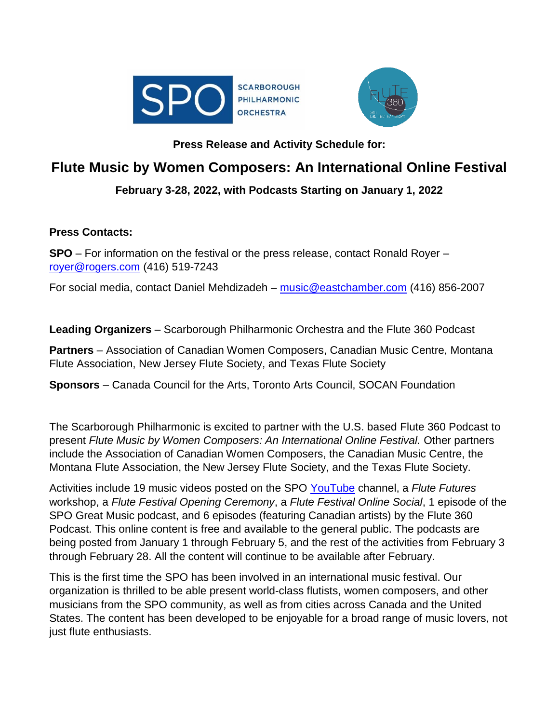



### **Press Release and Activity Schedule for:**

# **Flute Music by Women Composers: An International Online Festival**

### **February 3-28, 2022, with Podcasts Starting on January 1, 2022**

### **Press Contacts:**

**SPO** – For information on the festival or the press release, contact Ronald Royer – [royer@rogers.com](mailto:royer@rogers.com) (416) 519-7243

For social media, contact Daniel Mehdizadeh – [music@eastchamber.com](mailto:music@eastchamber.com) (416) 856-2007

**Leading Organizers** – Scarborough Philharmonic Orchestra and the Flute 360 Podcast

**Partners** – Association of Canadian Women Composers, Canadian Music Centre, Montana Flute Association, New Jersey Flute Society, and Texas Flute Society

**Sponsors** – Canada Council for the Arts, Toronto Arts Council, SOCAN Foundation

The Scarborough Philharmonic is excited to partner with the U.S. based Flute 360 Podcast to present *Flute Music by Women Composers: An International Online Festival.* Other partners include the Association of Canadian Women Composers, the Canadian Music Centre, the Montana Flute Association, the New Jersey Flute Society, and the Texas Flute Society.

Activities include 19 music videos posted on the SPO [YouTube](https://www.youtube.com/user/SPOGreatMusic) channel, a *Flute Futures* workshop, a *Flute Festival Opening Ceremony*, a *Flute Festival Online Social*, 1 episode of the SPO Great Music podcast, and 6 episodes (featuring Canadian artists) by the Flute 360 Podcast. This online content is free and available to the general public. The podcasts are being posted from January 1 through February 5, and the rest of the activities from February 3 through February 28. All the content will continue to be available after February.

This is the first time the SPO has been involved in an international music festival. Our organization is thrilled to be able present world-class flutists, women composers, and other musicians from the SPO community, as well as from cities across Canada and the United States. The content has been developed to be enjoyable for a broad range of music lovers, not just flute enthusiasts.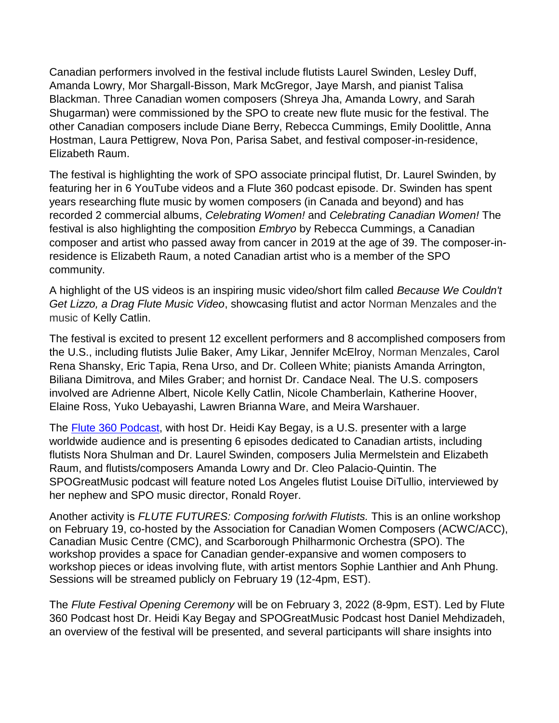Canadian performers involved in the festival include flutists Laurel Swinden, Lesley Duff, Amanda Lowry, Mor Shargall-Bisson, Mark McGregor, Jaye Marsh, and pianist Talisa Blackman. Three Canadian women composers (Shreya Jha, Amanda Lowry, and Sarah Shugarman) were commissioned by the SPO to create new flute music for the festival. The other Canadian composers include Diane Berry, Rebecca Cummings, Emily Doolittle, Anna Hostman, Laura Pettigrew, Nova Pon, Parisa Sabet, and festival composer-in-residence, Elizabeth Raum.

The festival is highlighting the work of SPO associate principal flutist, Dr. Laurel Swinden, by featuring her in 6 YouTube videos and a Flute 360 podcast episode. Dr. Swinden has spent years researching flute music by women composers (in Canada and beyond) and has recorded 2 commercial albums, *Celebrating Women!* and *Celebrating Canadian Women!* The festival is also highlighting the composition *Embryo* by Rebecca Cummings, a Canadian composer and artist who passed away from cancer in 2019 at the age of 39. The composer-inresidence is Elizabeth Raum, a noted Canadian artist who is a member of the SPO community.

A highlight of the US videos is an inspiring music video/short film called *Because We Couldn't Get Lizzo, a Drag Flute Music Video*, showcasing flutist and actor Norman Menzales and the music of Kelly Catlin.

The festival is excited to present 12 excellent performers and 8 accomplished composers from the U.S., including flutists Julie Baker, Amy Likar, Jennifer McElroy, Norman Menzales, Carol Rena Shansky, Eric Tapia, Rena Urso, and Dr. Colleen White; pianists Amanda Arrington, Biliana Dimitrova, and Miles Graber; and hornist Dr. Candace Neal. The U.S. composers involved are Adrienne Albert, Nicole Kelly Catlin, Nicole Chamberlain, Katherine Hoover, Elaine Ross, Yuko Uebayashi, Lawren Brianna Ware, and Meira Warshauer.

The [Flute 360 Podcast,](https://heidikaybegay.com/episodes/) with host Dr. Heidi Kay Begay, is a U.S. presenter with a large worldwide audience and is presenting 6 episodes dedicated to Canadian artists, including flutists Nora Shulman and Dr. Laurel Swinden, composers Julia Mermelstein and Elizabeth Raum, and flutists/composers Amanda Lowry and Dr. Cleo Palacio-Quintin. The SPOGreatMusic podcast will feature noted Los Angeles flutist Louise DiTullio, interviewed by her nephew and SPO music director, Ronald Royer.

Another activity is *FLUTE FUTURES: Composing for/with Flutists.* This is an online workshop on February 19, co-hosted by the Association for Canadian Women Composers (ACWC/ACC), Canadian Music Centre (CMC), and Scarborough Philharmonic Orchestra (SPO). The workshop provides a space for Canadian gender-expansive and women composers to workshop pieces or ideas involving flute, with artist mentors Sophie Lanthier and Anh Phung. Sessions will be streamed publicly on February 19 (12-4pm, EST).

The *Flute Festival Opening Ceremony* will be on February 3, 2022 (8-9pm, EST). Led by Flute 360 Podcast host Dr. Heidi Kay Begay and SPOGreatMusic Podcast host Daniel Mehdizadeh, an overview of the festival will be presented, and several participants will share insights into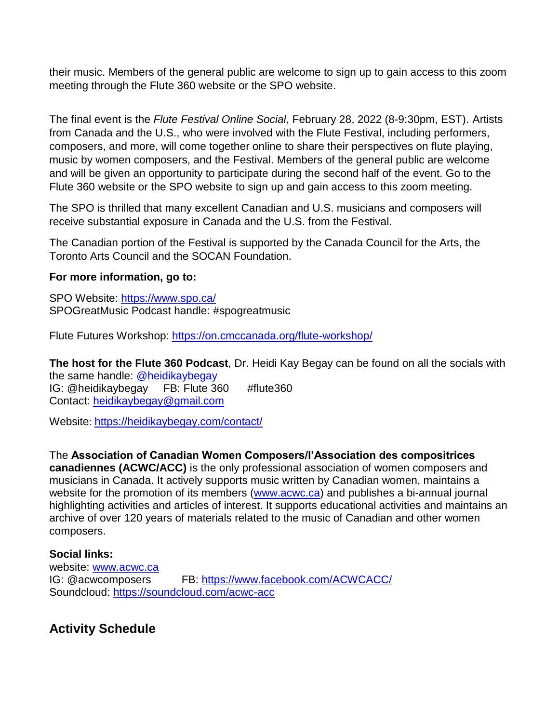their music. Members of the general public are welcome to sign up to gain access to this zoom meeting through the Flute 360 website or the SPO website.

The final event is the *Flute Festival Online Social*, February 28, 2022 (8-9:30pm, EST). Artists from Canada and the U.S., who were involved with the Flute Festival, including performers, composers, and more, will come together online to share their perspectives on flute playing, music by women composers, and the Festival. Members of the general public are welcome and will be given an opportunity to participate during the second half of the event. Go to the Flute 360 website or the SPO website to sign up and gain access to this zoom meeting.

The SPO is thrilled that many excellent Canadian and U.S. musicians and composers will receive substantial exposure in Canada and the U.S. from the Festival.

The Canadian portion of the Festival is supported by the Canada Council for the Arts, the Toronto Arts Council and the SOCAN Foundation.

#### **For more information, go to:**

SPO Website:<https://www.spo.ca/> SPOGreatMusic Podcast handle: #spogreatmusic

Flute Futures Workshop: <https://on.cmccanada.org/flute-workshop/>

**The host for the Flute 360 Podcast**, Dr. Heidi Kay Begay can be found on all the socials with the same handle: [@heidikaybegay](https://www.instagram.com/heidikaybegay/?hl=en) IG: @heidikaybegay FB: Flute 360 #flute360 Contact: [heidikaybegay@gmail.com](mailto:heidikaybegay@gmail.com)

Website: <https://heidikaybegay.com/contact/>

The **Association of Canadian Women Composers/l'Association des compositrices canadiennes (ACWC/ACC)** is the only professional association of women composers and musicians in Canada. It actively supports music written by Canadian women, maintains a website for the promotion of its members [\(www.acwc.ca\)](http://www.acwc.ca/) and publishes a bi-annual journal highlighting activities and articles of interest. It supports educational activities and maintains an archive of over 120 years of materials related to the music of Canadian and other women composers.

### **Social links:**

website: [www.acwc.ca](http://www.acwc.ca/) IG: @acwcomposers FB: <https://www.facebook.com/ACWCACC/> Soundcloud: <https://soundcloud.com/acwc-acc>

# **Activity Schedule**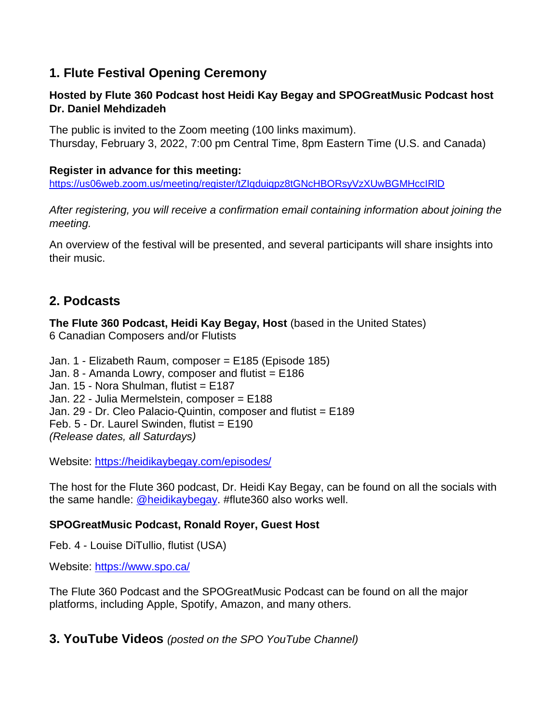## **1. Flute Festival Opening Ceremony**

### **Hosted by Flute 360 Podcast host Heidi Kay Begay and SPOGreatMusic Podcast host Dr. Daniel Mehdizadeh**

The public is invited to the Zoom meeting (100 links maximum). Thursday, February 3, 2022, 7:00 pm Central Time, 8pm Eastern Time (U.S. and Canada)

### **Register in advance for this meeting:**

<https://us06web.zoom.us/meeting/register/tZIqduiqpz8tGNcHBORsyVzXUwBGMHccIRlD>

*After registering, you will receive a confirmation email containing information about joining the meeting.*

An overview of the festival will be presented, and several participants will share insights into their music.

## **2. Podcasts**

**The Flute 360 Podcast, Heidi Kay Begay, Host** (based in the United States) 6 Canadian Composers and/or Flutists

Jan. 1 - [Elizabeth Raum, composer](https://heidikaybegay.com/episode-185/) = E185 (Episode 185) Jan.  $8$  - [Amanda Lowry, composer and flutist =](https://heidikaybegay.com/episode-186/)  $E186$ Jan. 15 - Nora Shulman, flutist = E187 Jan. 22 - Julia Mermelstein, composer = E188 Jan. 29 - Dr. Cleo Palacio-Quintin, composer and flutist = E189 Feb. 5 - Dr. Laurel Swinden, flutist = E190 *(Release dates, all Saturdays)*

Website:<https://heidikaybegay.com/episodes/>

The host for the Flute 360 podcast, Dr. Heidi Kay Begay, can be found on all the socials with the same handle: [@heidikaybegay.](https://www.instagram.com/heidikaybegay/?hl=en) #flute360 also works well.

### **SPOGreatMusic Podcast, Ronald Royer, Guest Host**

Feb. 4 - Louise DiTullio, flutist (USA)

Website:<https://www.spo.ca/>

The Flute 360 Podcast and the SPOGreatMusic Podcast can be found on all the major platforms, including Apple, Spotify, Amazon, and many others.

**3. YouTube Videos** *(posted on the SPO YouTube Channel)*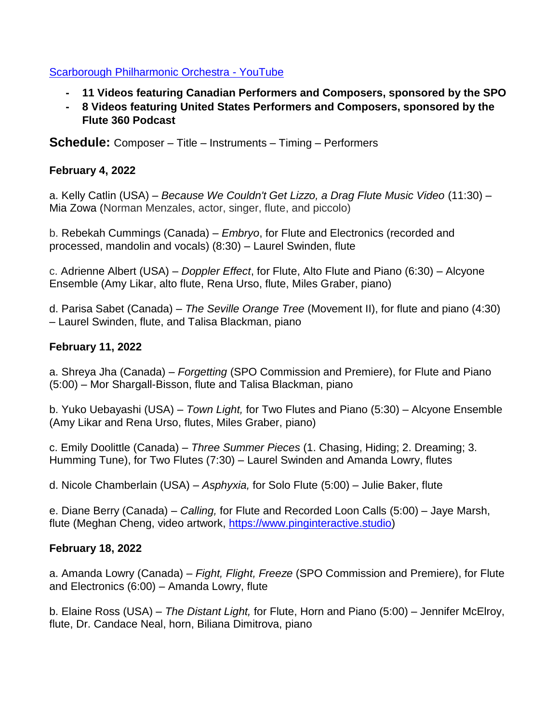### [Scarborough Philharmonic Orchestra -](https://www.youtube.com/channel/UCurNgOQmmu56ziFHNhGNqNA) YouTube

- **- 11 Videos featuring Canadian Performers and Composers, sponsored by the SPO**
- **- 8 Videos featuring United States Performers and Composers, sponsored by the Flute 360 Podcast**

**Schedule:** Composer – Title – Instruments – Timing – Performers

### **February 4, 2022**

a. Kelly Catlin (USA) – *Because We Couldn't Get Lizzo, a Drag Flute Music Video* (11:30) – Mia Zowa (Norman Menzales, actor, singer, flute, and piccolo)

b. Rebekah Cummings (Canada) – *Embryo*, for Flute and Electronics (recorded and processed, mandolin and vocals) (8:30) – Laurel Swinden, flute

c. Adrienne Albert (USA) – *Doppler Effect*, for Flute, Alto Flute and Piano (6:30) – Alcyone Ensemble (Amy Likar, alto flute, Rena Urso, flute, Miles Graber, piano)

d. Parisa Sabet (Canada) – *The Seville Orange Tree* (Movement II), for flute and piano (4:30) – Laurel Swinden, flute, and Talisa Blackman, piano

### **February 11, 2022**

a. Shreya Jha (Canada) – *Forgetting* (SPO Commission and Premiere), for Flute and Piano (5:00) – Mor Shargall-Bisson, flute and Talisa Blackman, piano

b. Yuko Uebayashi (USA) – *Town Light,* for Two Flutes and Piano (5:30) – Alcyone Ensemble (Amy Likar and Rena Urso, flutes, Miles Graber, piano)

c. Emily Doolittle (Canada) – *Three Summer Pieces* (1. Chasing, Hiding; 2. Dreaming; 3. Humming Tune), for Two Flutes (7:30) – Laurel Swinden and Amanda Lowry, flutes

d. Nicole Chamberlain (USA) – *Asphyxia,* for Solo Flute (5:00) – Julie Baker, flute

e. Diane Berry (Canada) – *Calling,* for Flute and Recorded Loon Calls (5:00) – Jaye Marsh, flute (Meghan Cheng, video artwork, [https://www.pinginteractive.studio\)](https://www.youtube.com/redirect?event=video_description&redir_token=QUFFLUhqbnRtb25MS0VQQ0Mxa2x5bWFvLXJfaUhEcEs1d3xBQ3Jtc0tsTGVJWU42a3BmOE1CTmd2VmdXd2hDRm1XU0NlUnhKckxySzR2bWhrLV9sdk5UM1dUYjU4Ti1lOTVFdzZ6WDhBR3puWjNlQXlpMF9xQUpTWHJxcjJfQTBjeWo2V2hXcm9RNi10bWFrU0FlYjhrYU9sMA&q=https%3A%2F%2Fwww.pinginteractive.studio)

### **February 18, 2022**

a. Amanda Lowry (Canada) – *Fight, Flight, Freeze* (SPO Commission and Premiere), for Flute and Electronics (6:00) – Amanda Lowry, flute

b. Elaine Ross (USA) – *The Distant Light,* for Flute, Horn and Piano (5:00) – Jennifer McElroy, flute, Dr. Candace Neal, horn, Biliana Dimitrova, piano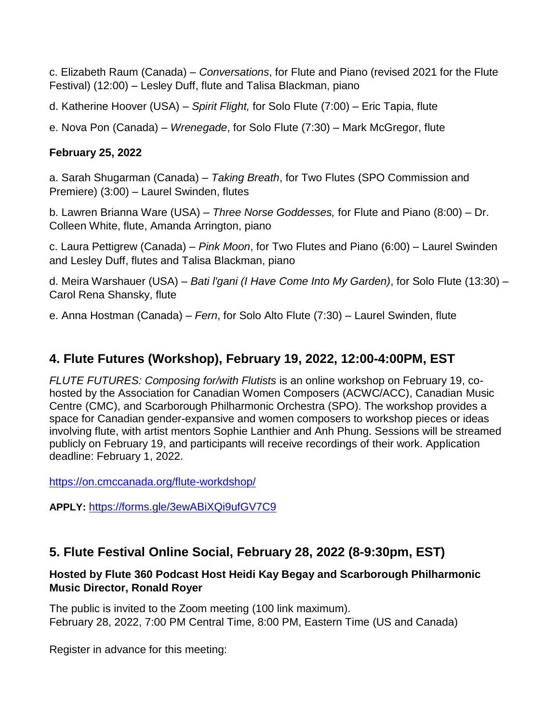c. Elizabeth Raum (Canada) – *Conversations*, for Flute and Piano (revised 2021 for the Flute Festival) (12:00) – Lesley Duff, flute and Talisa Blackman, piano

d. Katherine Hoover (USA) – *Spirit Flight,* for Solo Flute (7:00) – Eric Tapia, flute

e. Nova Pon (Canada) – *Wrenegade*, for Solo Flute (7:30) – Mark McGregor, flute

### **February 25, 2022**

a. Sarah Shugarman (Canada) – *Taking Breath*, for Two Flutes (SPO Commission and Premiere) (3:00) – Laurel Swinden, flutes

b. Lawren Brianna Ware (USA) – *Three Norse Goddesses,* for Flute and Piano (8:00) – Dr. Colleen White, flute, Amanda Arrington, piano

c. Laura Pettigrew (Canada) – *Pink Moon*, for Two Flutes and Piano (6:00) – Laurel Swinden and Lesley Duff, flutes and Talisa Blackman, piano

d. Meira Warshauer (USA) – *Bati l'gani (I Have Come Into My Garden)*, for Solo Flute (13:30) – Carol Rena Shansky, flute

e. Anna Hostman (Canada) – *Fern*, for Solo Alto Flute (7:30) – Laurel Swinden, flute

# **4. Flute Futures (Workshop), February 19, 2022, 12:00-4:00PM, EST**

*FLUTE FUTURES: Composing for/with Flutists* is an online workshop on February 19, cohosted by the Association for Canadian Women Composers (ACWC/ACC), Canadian Music Centre (CMC), and Scarborough Philharmonic Orchestra (SPO). The workshop provides a space for Canadian gender-expansive and women composers to workshop pieces or ideas involving flute, with artist mentors Sophie Lanthier and Anh Phung. Sessions will be streamed publicly on February 19, and participants will receive recordings of their work. Application deadline: February 1, 2022.

<https://on.cmccanada.org/flute-workdshop/>

**APPLY:** <https://forms.gle/3ewABiXQi9ufGV7C9>

# **5. Flute Festival Online Social, February 28, 2022 (8-9:30pm, EST)**

### **Hosted by Flute 360 Podcast Host Heidi Kay Begay and Scarborough Philharmonic Music Director, Ronald Royer**

The public is invited to the Zoom meeting (100 link maximum). February 28, 2022, 7:00 PM Central Time, 8:00 PM, Eastern Time (US and Canada)

Register in advance for this meeting: